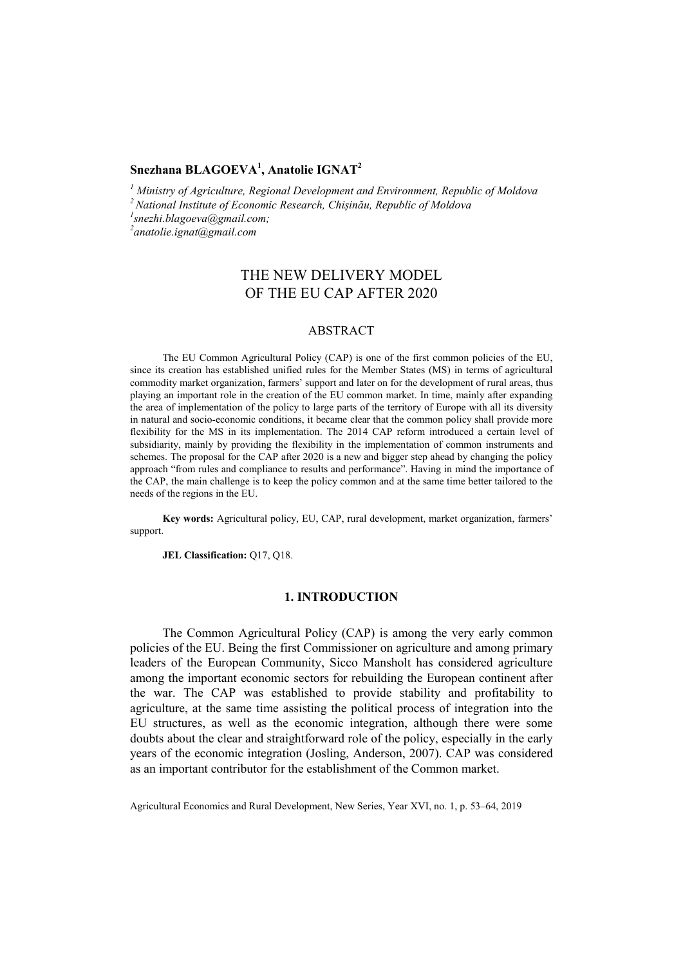# **Snezhana BLAGOEVA<sup>1</sup> , Anatolie IGNAT2**

<sup>1</sup> Ministry of Agriculture, Regional Development and Environment, Republic of Moldova<br><sup>2</sup> National Institute of Economic Research, Chișinău, Republic of Moldova<br><sup>1</sup>anazhi blazogua@gmail.com:

*snezhi.blagoeva@gmail.com;* 

*2 anatolie.ignat@gmail.com*

# THE NEW DELIVERY MODEL OF THE EU CAP AFTER 2020

### ABSTRACT

The EU Common Agricultural Policy (CAP) is one of the first common policies of the EU, since its creation has established unified rules for the Member States (MS) in terms of agricultural commodity market organization, farmers' support and later on for the development of rural areas, thus playing an important role in the creation of the EU common market. In time, mainly after expanding the area of implementation of the policy to large parts of the territory of Europe with all its diversity in natural and socio-economic conditions, it became clear that the common policy shall provide more flexibility for the MS in its implementation. The 2014 CAP reform introduced a certain level of subsidiarity, mainly by providing the flexibility in the implementation of common instruments and schemes. The proposal for the CAP after 2020 is a new and bigger step ahead by changing the policy approach "from rules and compliance to results and performance". Having in mind the importance of the CAP, the main challenge is to keep the policy common and at the same time better tailored to the needs of the regions in the EU.

**Key words:** Agricultural policy, EU, CAP, rural development, market organization, farmers' support.

**JEL Classification:** Q17, Q18.

# **1. INTRODUCTION**

The Common Agricultural Policy (CAP) is among the very early common policies of the EU. Being the first Commissioner on agriculture and among primary leaders of the European Community, Sicco Mansholt has considered agriculture among the important economic sectors for rebuilding the European continent after the war. The CAP was established to provide stability and profitability to agriculture, at the same time assisting the political process of integration into the EU structures, as well as the economic integration, although there were some doubts about the clear and straightforward role of the policy, especially in the early years of the economic integration (Josling, Anderson, 2007). CAP was considered as an important contributor for the establishment of the Common market.

Agricultural Economics and Rural Development, New Series, Year XVI, no. 1, p. 53–64, 2019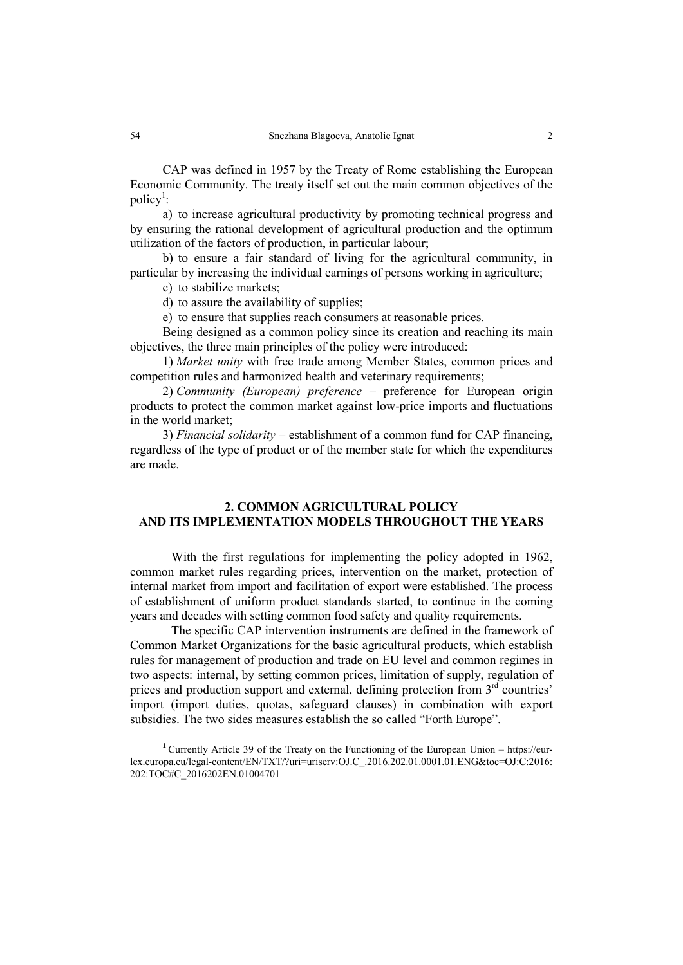CAP was defined in 1957 by the Treaty of Rome establishing the European Economic Community. The treaty itself set out the main common objectives of the policy<sup>1</sup>:

a) to increase agricultural productivity by promoting technical progress and by ensuring the rational development of agricultural production and the optimum utilization of the factors of production, in particular labour;

b) to ensure a fair standard of living for the agricultural community, in particular by increasing the individual earnings of persons working in agriculture;

c) to stabilize markets;

d) to assure the availability of supplies;

e) to ensure that supplies reach consumers at reasonable prices.

Being designed as a common policy since its creation and reaching its main objectives, the three main principles of the policy were introduced:

1) *Market unity* with free trade among Member States, common prices and competition rules and harmonized health and veterinary requirements;

2) *Community (European) preference* – preference for European origin products to protect the common market against low-price imports and fluctuations in the world market;

3) *Financial solidarity* – establishment of a common fund for CAP financing, regardless of the type of product or of the member state for which the expenditures are made.

# **2. COMMON AGRICULTURAL POLICY AND ITS IMPLEMENTATION MODELS THROUGHOUT THE YEARS**

With the first regulations for implementing the policy adopted in 1962, common market rules regarding prices, intervention on the market, protection of internal market from import and facilitation of export were established. The process of establishment of uniform product standards started, to continue in the coming years and decades with setting common food safety and quality requirements.

The specific CAP intervention instruments are defined in the framework of Common Market Organizations for the basic agricultural products, which establish rules for management of production and trade on EU level and common regimes in two aspects: internal, by setting common prices, limitation of supply, regulation of prices and production support and external, defining protection from  $3<sup>rd</sup>$  countries' import (import duties, quotas, safeguard clauses) in combination with export subsidies. The two sides measures establish the so called "Forth Europe".

<sup>&</sup>lt;sup>1</sup> Currently Article 39 of the Treaty on the Functioning of the European Union – https://eurlex.europa.eu/legal-content/EN/TXT/?uri=uriserv:OJ.C\_.2016.202.01.0001.01.ENG&toc=OJ:C:2016: 202:TOC#C\_2016202EN.01004701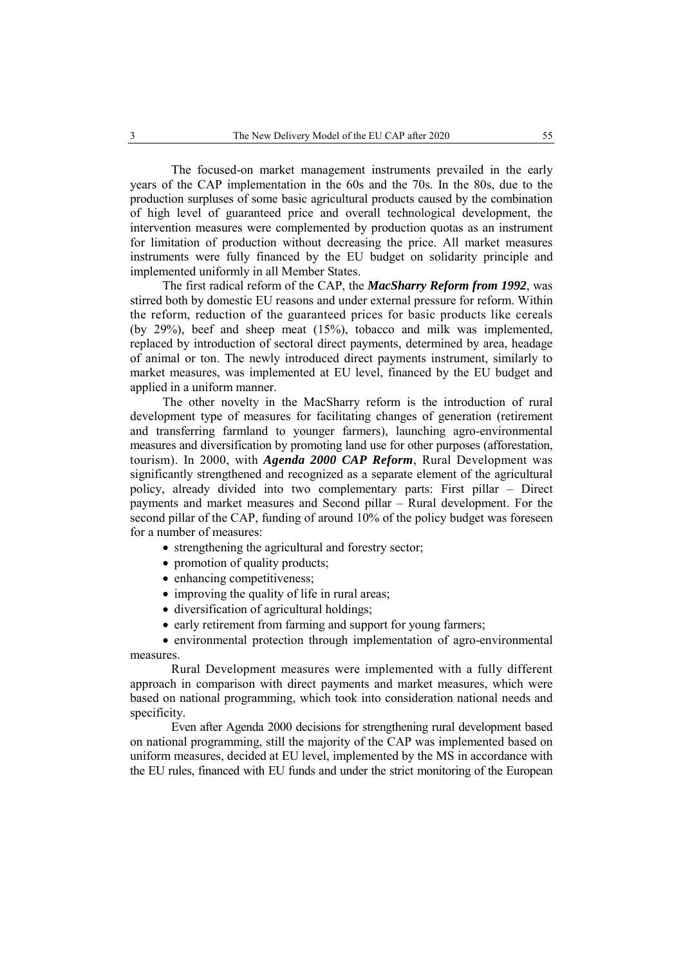The focused-on market management instruments prevailed in the early years of the CAP implementation in the 60s and the 70s. In the 80s, due to the production surpluses of some basic agricultural products caused by the combination of high level of guaranteed price and overall technological development, the intervention measures were complemented by production quotas as an instrument for limitation of production without decreasing the price. All market measures instruments were fully financed by the EU budget on solidarity principle and implemented uniformly in all Member States.

The first radical reform of the CAP, the *MacSharry Reform from 1992*, was stirred both by domestic EU reasons and under external pressure for reform. Within the reform, reduction of the guaranteed prices for basic products like cereals (by 29%), beef and sheep meat (15%), tobacco and milk was implemented, replaced by introduction of sectoral direct payments, determined by area, headage of animal or ton. The newly introduced direct payments instrument, similarly to market measures, was implemented at EU level, financed by the EU budget and applied in a uniform manner.

The other novelty in the MacSharry reform is the introduction of rural development type of measures for facilitating changes of generation (retirement and transferring farmland to younger farmers), launching agro-environmental measures and diversification by promoting land use for other purposes (afforestation, tourism). In 2000, with *Agenda 2000 CAP Reform*, Rural Development was significantly strengthened and recognized as a separate element of the agricultural policy, already divided into two complementary parts: First pillar – Direct payments and market measures and Second pillar – Rural development. For the second pillar of the CAP, funding of around 10% of the policy budget was foreseen for a number of measures:

- strengthening the agricultural and forestry sector;
- promotion of quality products;
- enhancing competitiveness;
- improving the quality of life in rural areas;
- diversification of agricultural holdings;
- early retirement from farming and support for young farmers;

 environmental protection through implementation of agro-environmental measures.

Rural Development measures were implemented with a fully different approach in comparison with direct payments and market measures, which were based on national programming, which took into consideration national needs and specificity.

Even after Agenda 2000 decisions for strengthening rural development based on national programming, still the majority of the CAP was implemented based on uniform measures, decided at EU level, implemented by the MS in accordance with the EU rules, financed with EU funds and under the strict monitoring of the European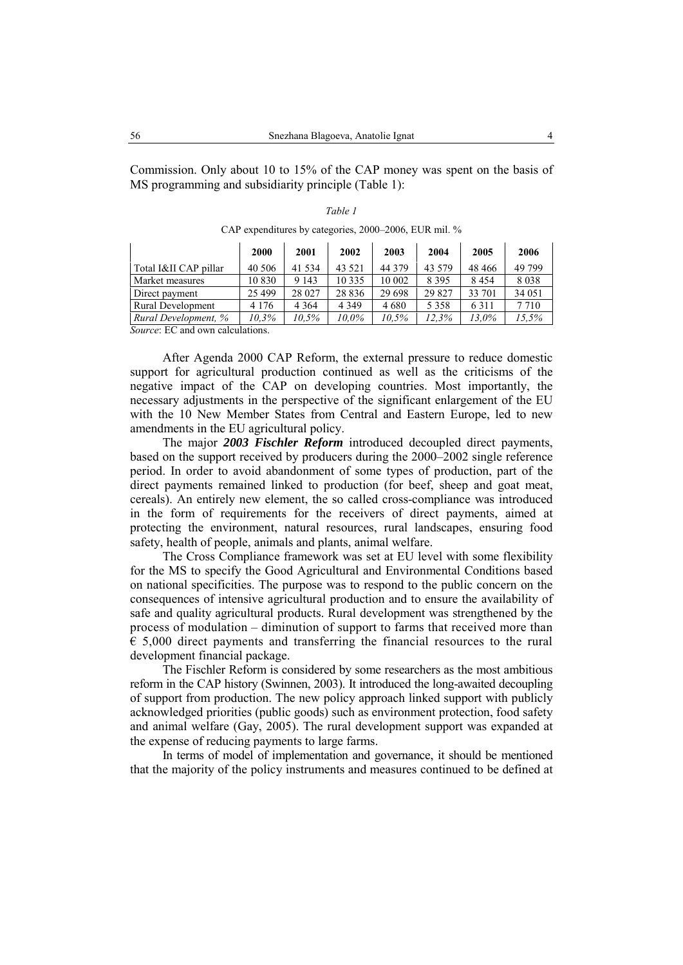Commission. Only about 10 to 15% of the CAP money was spent on the basis of MS programming and subsidiarity principle (Table 1):

|                                 | 2000    | 2001    | 2002     | 2003     | 2004    | 2005     | 2006    |
|---------------------------------|---------|---------|----------|----------|---------|----------|---------|
| Total I&II CAP pillar           | 40 50 6 | 41 5 34 | 43 5 21  | 44 3 7 9 | 43 579  | 48 4 6 6 | 49 799  |
| Market measures                 | 10830   | 9 1 4 3 | 10 3 3 5 | 10 002   | 8 3 9 5 | 8454     | 8038    |
| Direct payment                  | 25 4 99 | 28 027  | 28 8 36  | 29 6 98  | 29 827  | 33 701   | 34 051  |
| <b>Rural Development</b>        | 4 1 7 6 | 4 3 6 4 | 4 3 4 9  | 4 6 8 0  | 5 3 5 8 | 6311     | 7 7 1 0 |
| Rural Development, %            | 10.3%   | 10.5%   | 10.0%    | 10.5%    | 12.3%   | 13.0%    | 15,5%   |
| Source: EC and own calculations |         |         |          |          |         |          |         |

*Table 1*  CAP expenditures by categories, 2000–2006, EUR mil. %

*Source*: EC and own calculations.

After Agenda 2000 CAP Reform, the external pressure to reduce domestic support for agricultural production continued as well as the criticisms of the negative impact of the CAP on developing countries. Most importantly, the necessary adjustments in the perspective of the significant enlargement of the EU with the 10 New Member States from Central and Eastern Europe, led to new amendments in the EU agricultural policy.

The major *2003 Fischler Reform* introduced decoupled direct payments, based on the support received by producers during the 2000–2002 single reference period. In order to avoid abandonment of some types of production, part of the direct payments remained linked to production (for beef, sheep and goat meat, cereals). An entirely new element, the so called cross-compliance was introduced in the form of requirements for the receivers of direct payments, aimed at protecting the environment, natural resources, rural landscapes, ensuring food safety, health of people, animals and plants, animal welfare.

The Cross Compliance framework was set at EU level with some flexibility for the MS to specify the Good Agricultural and Environmental Conditions based on national specificities. The purpose was to respond to the public concern on the consequences of intensive agricultural production and to ensure the availability of safe and quality agricultural products. Rural development was strengthened by the process of modulation – diminution of support to farms that received more than  $\epsilon$  5,000 direct payments and transferring the financial resources to the rural development financial package.

The Fischler Reform is considered by some researchers as the most ambitious reform in the CAP history (Swinnen, 2003). It introduced the long-awaited decoupling of support from production. The new policy approach linked support with publicly acknowledged priorities (public goods) such as environment protection, food safety and animal welfare (Gay, 2005). The rural development support was expanded at the expense of reducing payments to large farms.

In terms of model of implementation and governance, it should be mentioned that the majority of the policy instruments and measures continued to be defined at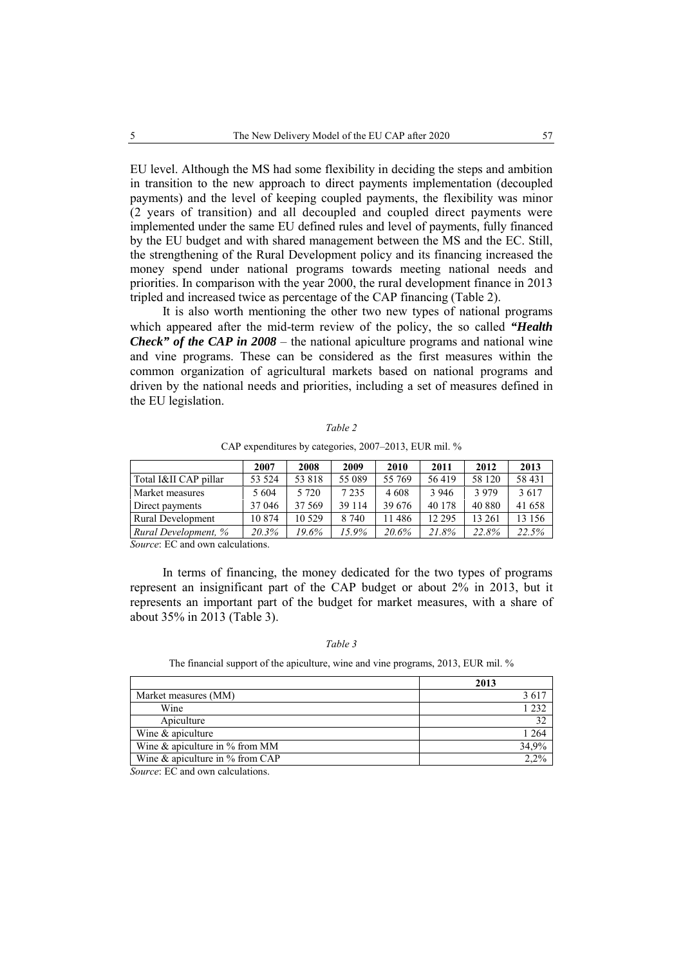EU level. Although the MS had some flexibility in deciding the steps and ambition in transition to the new approach to direct payments implementation (decoupled payments) and the level of keeping coupled payments, the flexibility was minor (2 years of transition) and all decoupled and coupled direct payments were implemented under the same EU defined rules and level of payments, fully financed by the EU budget and with shared management between the MS and the EC. Still, the strengthening of the Rural Development policy and its financing increased the money spend under national programs towards meeting national needs and priorities. In comparison with the year 2000, the rural development finance in 2013 tripled and increased twice as percentage of the CAP financing (Table 2).

It is also worth mentioning the other two new types of national programs which appeared after the mid-term review of the policy, the so called *"Health Check" of the CAP in 2008* – the national apiculture programs and national wine and vine programs. These can be considered as the first measures within the common organization of agricultural markets based on national programs and driven by the national needs and priorities, including a set of measures defined in the EU legislation.

|                       | 2007   | 2008    | 2009    | 2010    | 2011     | 2012    | 2013    |
|-----------------------|--------|---------|---------|---------|----------|---------|---------|
| Total I&II CAP pillar | 53 524 | 53818   | 55 089  | 55 769  | 56419    | 58 120  | 58 431  |
| Market measures       | 5 604  | 5 7 2 0 | 7 2 3 5 | 4 6 0 8 | 3 9 4 6  | 3 9 7 9 | 3617    |
| Direct payments       | 37 046 | 37 5 69 | 39 1 14 | 39 676  | 40 178   | 40 880  | 41 658  |
| Rural Development     | 10874  | 10 5 29 | 8 7 4 0 | 11486   | 12 2 9 5 | 13 261  | 13 15 6 |
| Rural Development, %  | 20.3%  | 19.6%   | 15.9%   | 20.6%   | 21.8%    | 22.8%   | 22.5%   |

*Table 2*  CAP expenditures by categories, 2007–2013, EUR mil. %

*Source*: EC and own calculations.

In terms of financing, the money dedicated for the two types of programs represent an insignificant part of the CAP budget or about 2% in 2013, but it represents an important part of the budget for market measures, with a share of about 35% in 2013 (Table 3).

# *Table 3*

The financial support of the apiculture, wine and vine programs, 2013, EUR mil. %

|                                    | 2013    |
|------------------------------------|---------|
| Market measures (MM)               | 3617    |
| Wine                               | 1 2 3 2 |
| Apiculture                         | 32      |
| Wine & apiculture                  | 1 264   |
| Wine $\&$ apiculture in % from MM  | 34,9%   |
| Wine $\&$ apiculture in % from CAP | 2.2%    |

*Source*: EC and own calculations.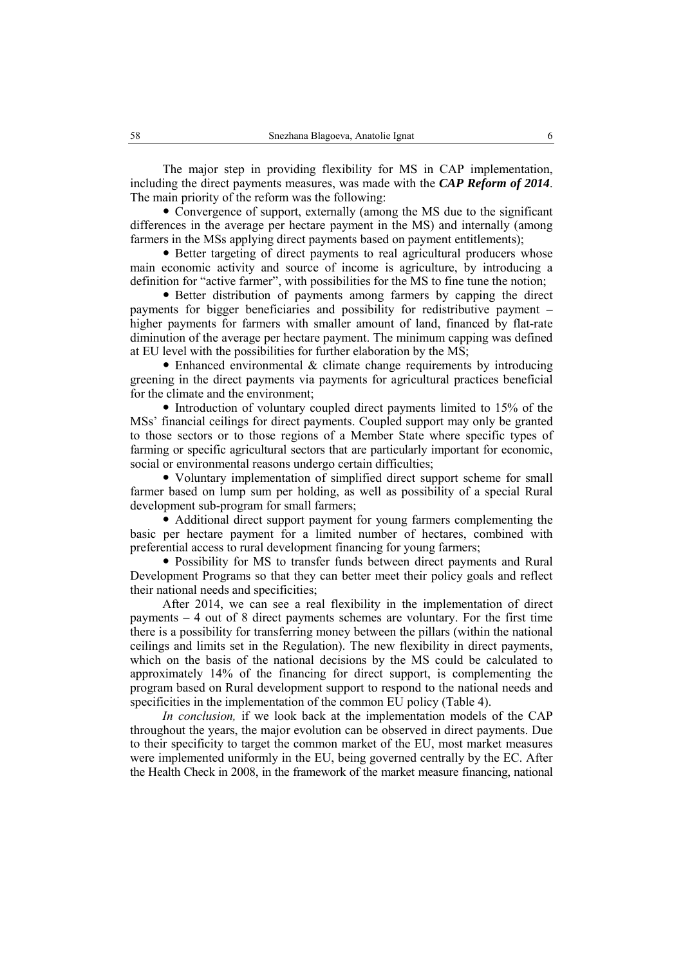The major step in providing flexibility for MS in CAP implementation, including the direct payments measures, was made with the *CAP Reform of 2014*. The main priority of the reform was the following:

• Convergence of support, externally (among the MS due to the significant differences in the average per hectare payment in the MS) and internally (among farmers in the MSs applying direct payments based on payment entitlements);

• Better targeting of direct payments to real agricultural producers whose main economic activity and source of income is agriculture, by introducing a definition for "active farmer", with possibilities for the MS to fine tune the notion;

• Better distribution of payments among farmers by capping the direct payments for bigger beneficiaries and possibility for redistributive payment – higher payments for farmers with smaller amount of land, financed by flat-rate diminution of the average per hectare payment. The minimum capping was defined at EU level with the possibilities for further elaboration by the MS;

• Enhanced environmental  $&$  climate change requirements by introducing greening in the direct payments via payments for agricultural practices beneficial for the climate and the environment;

 $\bullet$  Introduction of voluntary coupled direct payments limited to 15% of the MSs' financial ceilings for direct payments. Coupled support may only be granted to those sectors or to those regions of a Member State where specific types of farming or specific agricultural sectors that are particularly important for economic, social or environmental reasons undergo certain difficulties;

• Voluntary implementation of simplified direct support scheme for small farmer based on lump sum per holding, as well as possibility of a special Rural development sub-program for small farmers;

• Additional direct support payment for young farmers complementing the basic per hectare payment for a limited number of hectares, combined with preferential access to rural development financing for young farmers;

• Possibility for MS to transfer funds between direct payments and Rural Development Programs so that they can better meet their policy goals and reflect their national needs and specificities;

After 2014, we can see a real flexibility in the implementation of direct payments – 4 out of 8 direct payments schemes are voluntary. For the first time there is a possibility for transferring money between the pillars (within the national ceilings and limits set in the Regulation). The new flexibility in direct payments, which on the basis of the national decisions by the MS could be calculated to approximately 14% of the financing for direct support, is complementing the program based on Rural development support to respond to the national needs and specificities in the implementation of the common EU policy (Table 4).

*In conclusion,* if we look back at the implementation models of the CAP throughout the years, the major evolution can be observed in direct payments. Due to their specificity to target the common market of the EU, most market measures were implemented uniformly in the EU, being governed centrally by the EC. After the Health Check in 2008, in the framework of the market measure financing, national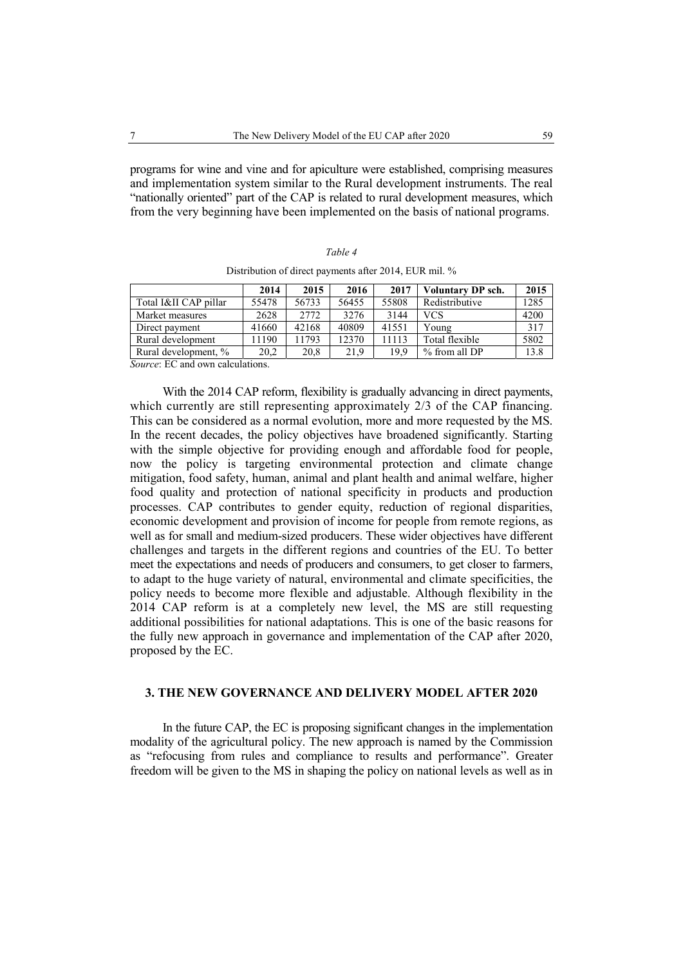programs for wine and vine and for apiculture were established, comprising measures and implementation system similar to the Rural development instruments. The real "nationally oriented" part of the CAP is related to rural development measures, which from the very beginning have been implemented on the basis of national programs.

|--|--|

| Distribution of direct payments after 2014, EUR mil. % |  |
|--------------------------------------------------------|--|
|--------------------------------------------------------|--|

|                                                                                                                           | 2014  | 2015  | 2016  | 2017  | Voluntary DP sch. | 2015 |
|---------------------------------------------------------------------------------------------------------------------------|-------|-------|-------|-------|-------------------|------|
| Total I&II CAP pillar                                                                                                     | 55478 | 56733 | 56455 | 55808 | Redistributive    | 1285 |
| Market measures                                                                                                           | 2628  | 2772  | 3276  | 3144  | <b>VCS</b>        | 4200 |
| Direct payment                                                                                                            | 41660 | 42168 | 40809 | 41551 | Young             | 317  |
| Rural development                                                                                                         | 1190  | 11793 | 12370 | 11113 | Total flexible    | 5802 |
| Rural development, %                                                                                                      | 20.2  | 20,8  | 21.9  | 19.9  | % from all DP     | 13.8 |
| $\mathcal{R}$ and $\mathcal{R}$ and $\mathcal{R}$ and $\mathcal{R}$ are $\mathcal{R}$ and $\mathcal{R}$ are $\mathcal{R}$ |       |       |       |       |                   |      |

*Source*: EC and own calculations.

With the 2014 CAP reform, flexibility is gradually advancing in direct payments, which currently are still representing approximately 2/3 of the CAP financing. This can be considered as a normal evolution, more and more requested by the MS. In the recent decades, the policy objectives have broadened significantly. Starting with the simple objective for providing enough and affordable food for people, now the policy is targeting environmental protection and climate change mitigation, food safety, human, animal and plant health and animal welfare, higher food quality and protection of national specificity in products and production processes. CAP contributes to gender equity, reduction of regional disparities, economic development and provision of income for people from remote regions, as well as for small and medium-sized producers. These wider objectives have different challenges and targets in the different regions and countries of the EU. To better meet the expectations and needs of producers and consumers, to get closer to farmers, to adapt to the huge variety of natural, environmental and climate specificities, the policy needs to become more flexible and adjustable. Although flexibility in the 2014 CAP reform is at a completely new level, the MS are still requesting additional possibilities for national adaptations. This is one of the basic reasons for the fully new approach in governance and implementation of the CAP after 2020, proposed by the EC.

### **3. THE NEW GOVERNANCE AND DELIVERY MODEL AFTER 2020**

In the future CAP, the EC is proposing significant changes in the implementation modality of the agricultural policy. The new approach is named by the Commission as "refocusing from rules and compliance to results and performance". Greater freedom will be given to the MS in shaping the policy on national levels as well as in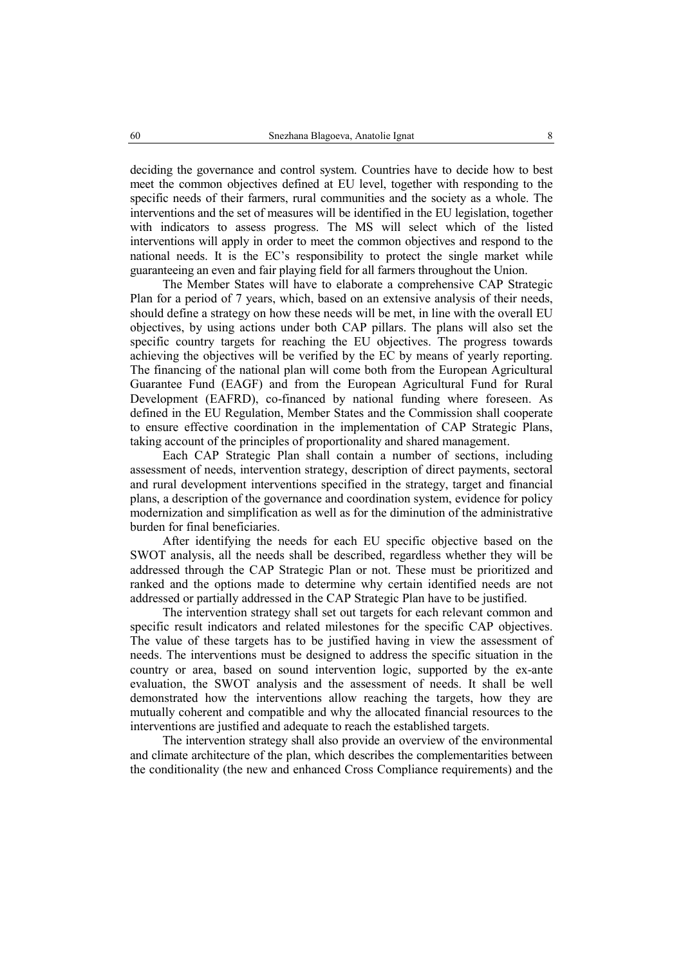deciding the governance and control system. Countries have to decide how to best meet the common objectives defined at EU level, together with responding to the specific needs of their farmers, rural communities and the society as a whole. The interventions and the set of measures will be identified in the EU legislation, together with indicators to assess progress. The MS will select which of the listed interventions will apply in order to meet the common objectives and respond to the national needs. It is the EC's responsibility to protect the single market while guaranteeing an even and fair playing field for all farmers throughout the Union.

The Member States will have to elaborate a comprehensive CAP Strategic Plan for a period of 7 years, which, based on an extensive analysis of their needs, should define a strategy on how these needs will be met, in line with the overall EU objectives, by using actions under both CAP pillars. The plans will also set the specific country targets for reaching the EU objectives. The progress towards achieving the objectives will be verified by the EC by means of yearly reporting. The financing of the national plan will come both from the European Agricultural Guarantee Fund (EAGF) and from the European Agricultural Fund for Rural Development (EAFRD), co-financed by national funding where foreseen. As defined in the EU Regulation, Member States and the Commission shall cooperate to ensure effective coordination in the implementation of CAP Strategic Plans, taking account of the principles of proportionality and shared management.

Each CAP Strategic Plan shall contain a number of sections, including assessment of needs, intervention strategy, description of direct payments, sectoral and rural development interventions specified in the strategy, target and financial plans, a description of the governance and coordination system, evidence for policy modernization and simplification as well as for the diminution of the administrative burden for final beneficiaries.

After identifying the needs for each EU specific objective based on the SWOT analysis, all the needs shall be described, regardless whether they will be addressed through the CAP Strategic Plan or not. These must be prioritized and ranked and the options made to determine why certain identified needs are not addressed or partially addressed in the CAP Strategic Plan have to be justified.

The intervention strategy shall set out targets for each relevant common and specific result indicators and related milestones for the specific CAP objectives. The value of these targets has to be justified having in view the assessment of needs. The interventions must be designed to address the specific situation in the country or area, based on sound intervention logic, supported by the ex-ante evaluation, the SWOT analysis and the assessment of needs. It shall be well demonstrated how the interventions allow reaching the targets, how they are mutually coherent and compatible and why the allocated financial resources to the interventions are justified and adequate to reach the established targets.

The intervention strategy shall also provide an overview of the environmental and climate architecture of the plan, which describes the complementarities between the conditionality (the new and enhanced Cross Compliance requirements) and the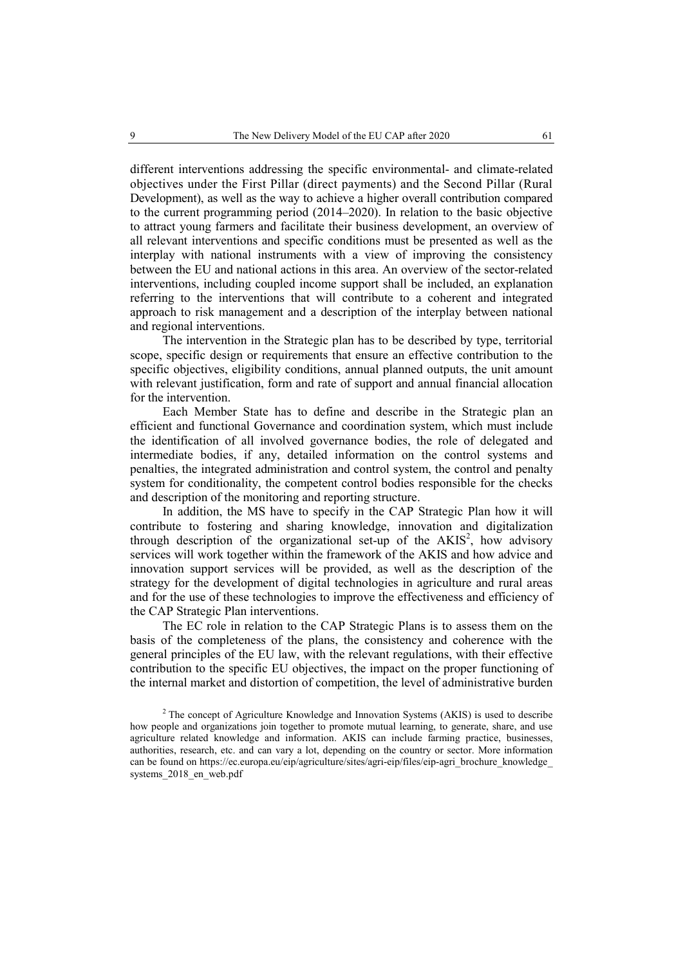different interventions addressing the specific environmental- and climate-related objectives under the First Pillar (direct payments) and the Second Pillar (Rural Development), as well as the way to achieve a higher overall contribution compared to the current programming period (2014–2020). In relation to the basic objective to attract young farmers and facilitate their business development, an overview of all relevant interventions and specific conditions must be presented as well as the interplay with national instruments with a view of improving the consistency between the EU and national actions in this area. An overview of the sector-related interventions, including coupled income support shall be included, an explanation referring to the interventions that will contribute to a coherent and integrated approach to risk management and a description of the interplay between national and regional interventions.

The intervention in the Strategic plan has to be described by type, territorial scope, specific design or requirements that ensure an effective contribution to the specific objectives, eligibility conditions, annual planned outputs, the unit amount with relevant justification, form and rate of support and annual financial allocation for the intervention.

Each Member State has to define and describe in the Strategic plan an efficient and functional Governance and coordination system, which must include the identification of all involved governance bodies, the role of delegated and intermediate bodies, if any, detailed information on the control systems and penalties, the integrated administration and control system, the control and penalty system for conditionality, the competent control bodies responsible for the checks and description of the monitoring and reporting structure.

In addition, the MS have to specify in the CAP Strategic Plan how it will contribute to fostering and sharing knowledge, innovation and digitalization through description of the organizational set-up of the  $AKIS<sup>2</sup>$ , how advisory services will work together within the framework of the AKIS and how advice and innovation support services will be provided, as well as the description of the strategy for the development of digital technologies in agriculture and rural areas and for the use of these technologies to improve the effectiveness and efficiency of the CAP Strategic Plan interventions.

The EC role in relation to the CAP Strategic Plans is to assess them on the basis of the completeness of the plans, the consistency and coherence with the general principles of the EU law, with the relevant regulations, with their effective contribution to the specific EU objectives, the impact on the proper functioning of the internal market and distortion of competition, the level of administrative burden

 $2$  The concept of Agriculture Knowledge and Innovation Systems (AKIS) is used to describe how people and organizations join together to promote mutual learning, to generate, share, and use agriculture related knowledge and information. AKIS can include farming practice, businesses, authorities, research, etc. and can vary a lot, depending on the country or sector. More information can be found on https://ec.europa.eu/eip/agriculture/sites/agri-eip/files/eip-agri\_brochure\_knowledge systems 2018 en web.pdf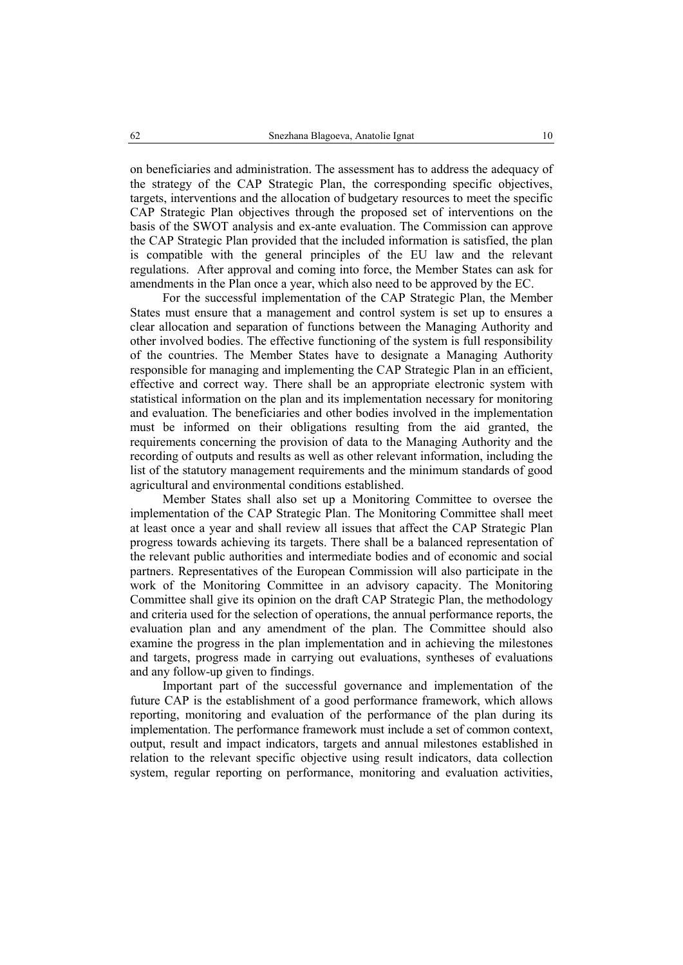on beneficiaries and administration. The assessment has to address the adequacy of the strategy of the CAP Strategic Plan, the corresponding specific objectives, targets, interventions and the allocation of budgetary resources to meet the specific CAP Strategic Plan objectives through the proposed set of interventions on the basis of the SWOT analysis and ex-ante evaluation. The Commission can approve the CAP Strategic Plan provided that the included information is satisfied, the plan is compatible with the general principles of the EU law and the relevant regulations. After approval and coming into force, the Member States can ask for amendments in the Plan once a year, which also need to be approved by the EC.

For the successful implementation of the CAP Strategic Plan, the Member States must ensure that a management and control system is set up to ensures a clear allocation and separation of functions between the Managing Authority and other involved bodies. The effective functioning of the system is full responsibility of the countries. The Member States have to designate a Managing Authority responsible for managing and implementing the CAP Strategic Plan in an efficient, effective and correct way. There shall be an appropriate electronic system with statistical information on the plan and its implementation necessary for monitoring and evaluation. The beneficiaries and other bodies involved in the implementation must be informed on their obligations resulting from the aid granted, the requirements concerning the provision of data to the Managing Authority and the recording of outputs and results as well as other relevant information, including the list of the statutory management requirements and the minimum standards of good agricultural and environmental conditions established.

Member States shall also set up a Monitoring Committee to oversee the implementation of the CAP Strategic Plan. The Monitoring Committee shall meet at least once a year and shall review all issues that affect the CAP Strategic Plan progress towards achieving its targets. There shall be a balanced representation of the relevant public authorities and intermediate bodies and of economic and social partners. Representatives of the European Commission will also participate in the work of the Monitoring Committee in an advisory capacity. The Monitoring Committee shall give its opinion on the draft CAP Strategic Plan, the methodology and criteria used for the selection of operations, the annual performance reports, the evaluation plan and any amendment of the plan. The Committee should also examine the progress in the plan implementation and in achieving the milestones and targets, progress made in carrying out evaluations, syntheses of evaluations and any follow-up given to findings.

Important part of the successful governance and implementation of the future CAP is the establishment of a good performance framework, which allows reporting, monitoring and evaluation of the performance of the plan during its implementation. The performance framework must include a set of common context, output, result and impact indicators, targets and annual milestones established in relation to the relevant specific objective using result indicators, data collection system, regular reporting on performance, monitoring and evaluation activities,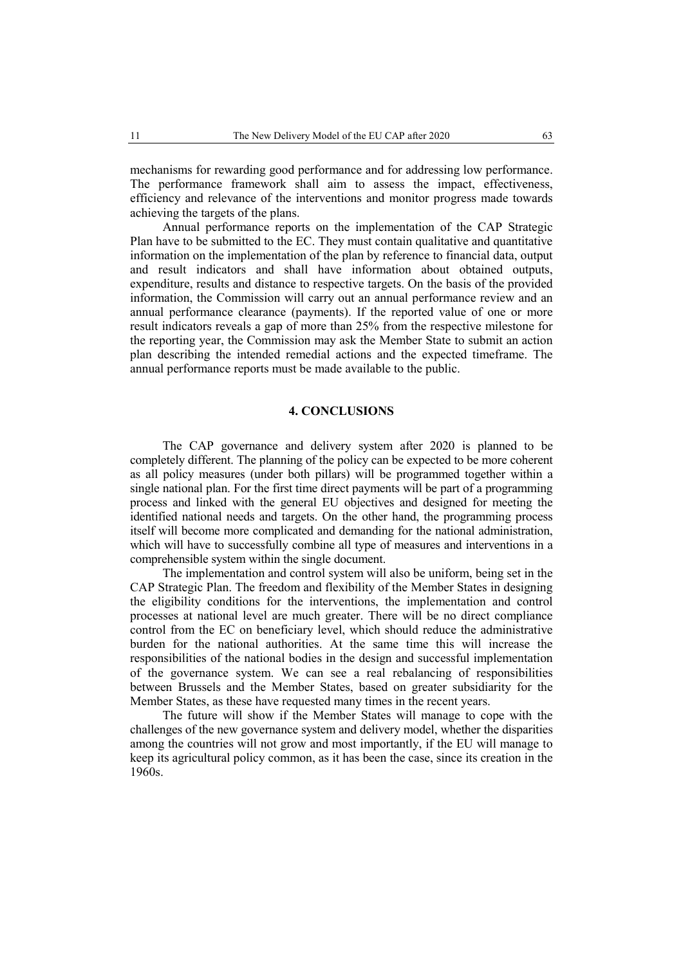mechanisms for rewarding good performance and for addressing low performance. The performance framework shall aim to assess the impact, effectiveness, efficiency and relevance of the interventions and monitor progress made towards achieving the targets of the plans.

Annual performance reports on the implementation of the CAP Strategic Plan have to be submitted to the EC. They must contain qualitative and quantitative information on the implementation of the plan by reference to financial data, output and result indicators and shall have information about obtained outputs, expenditure, results and distance to respective targets. On the basis of the provided information, the Commission will carry out an annual performance review and an annual performance clearance (payments). If the reported value of one or more result indicators reveals a gap of more than 25% from the respective milestone for the reporting year, the Commission may ask the Member State to submit an action plan describing the intended remedial actions and the expected timeframe. The annual performance reports must be made available to the public.

# **4. CONCLUSIONS**

The CAP governance and delivery system after 2020 is planned to be completely different. The planning of the policy can be expected to be more coherent as all policy measures (under both pillars) will be programmed together within a single national plan. For the first time direct payments will be part of a programming process and linked with the general EU objectives and designed for meeting the identified national needs and targets. On the other hand, the programming process itself will become more complicated and demanding for the national administration, which will have to successfully combine all type of measures and interventions in a comprehensible system within the single document.

The implementation and control system will also be uniform, being set in the CAP Strategic Plan. The freedom and flexibility of the Member States in designing the eligibility conditions for the interventions, the implementation and control processes at national level are much greater. There will be no direct compliance control from the EC on beneficiary level, which should reduce the administrative burden for the national authorities. At the same time this will increase the responsibilities of the national bodies in the design and successful implementation of the governance system. We can see a real rebalancing of responsibilities between Brussels and the Member States, based on greater subsidiarity for the Member States, as these have requested many times in the recent years.

The future will show if the Member States will manage to cope with the challenges of the new governance system and delivery model, whether the disparities among the countries will not grow and most importantly, if the EU will manage to keep its agricultural policy common, as it has been the case, since its creation in the 1960s.